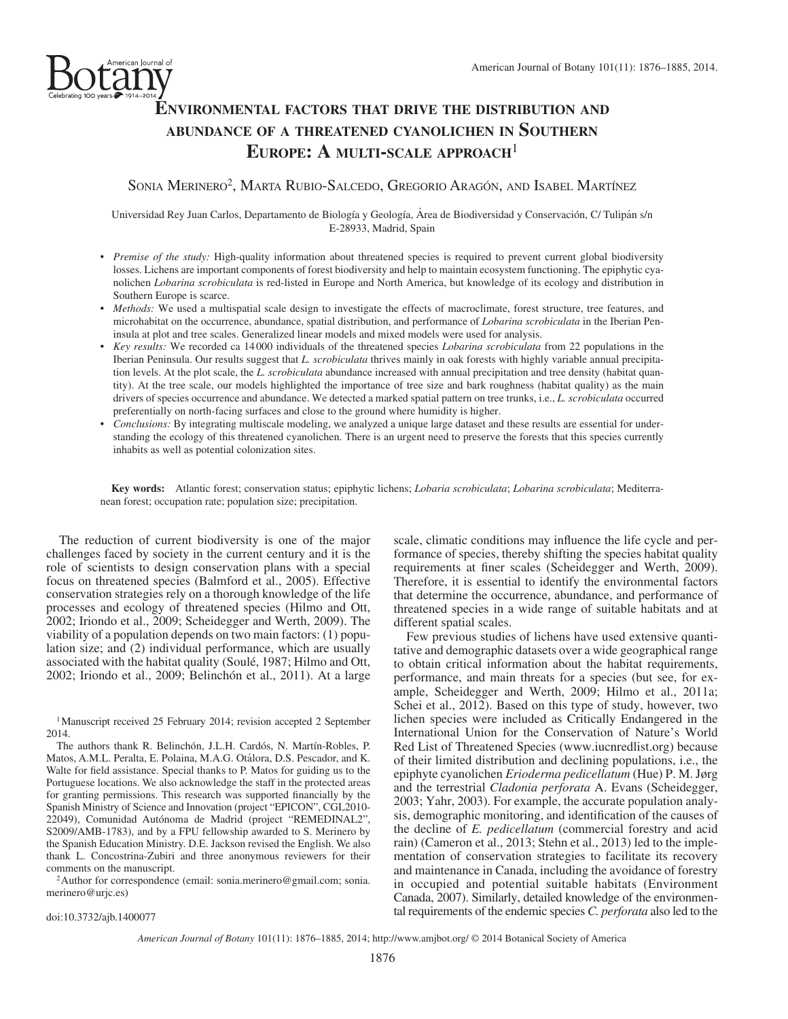

# **ENVIRONMENTAL FACTORS THAT DRIVE THE DISTRIBUTION AND ABUNDANCE OF <sup>A</sup> THREATENED CYANOLICHEN IN SOUTHERN EUROPE: A MULTI-SCALE APPROACH**<sup>1</sup>

SONIA MERINERO<sup>2</sup>, MARTA RUBIO-SALCEDO, GREGORIO ARAGÓN, AND ISABEL MARTÍNEZ

Universidad Rey Juan Carlos, Departamento de Biología y Geología, Área de Biodiversidad y Conservación, C/ Tulipán s/n E-28933, Madrid, Spain

- *Premise of the study:* High-quality information about threatened species is required to prevent current global biodiversity losses. Lichens are important components of forest biodiversity and help to maintain ecosystem functioning. The epiphytic cyanolichen *Lobarina scrobiculata* is red-listed in Europe and North America, but knowledge of its ecology and distribution in Southern Europe is scarce.
- *Methods:* We used a multispatial scale design to investigate the effects of macroclimate, forest structure, tree features, and microhabitat on the occurrence, abundance, spatial distribution, and performance of *Lobarina scrobiculata* in the Iberian Peninsula at plot and tree scales. Generalized linear models and mixed models were used for analysis.
- *Key results:* We recorded ca 14 000 individuals of the threatened species *Lobarina scrobiculata* from 22 populations in the Iberian Peninsula. Our results suggest that *L. scrobiculata* thrives mainly in oak forests with highly variable annual precipitation levels. At the plot scale, the *L. scrobiculata* abundance increased with annual precipitation and tree density (habitat quantity). At the tree scale, our models highlighted the importance of tree size and bark roughness (habitat quality) as the main drivers of species occurrence and abundance. We detected a marked spatial pattern on tree trunks, i.e., *L. scrobiculata* occurred preferentially on north-facing surfaces and close to the ground where humidity is higher.
- *Conclusions:* By integrating multiscale modeling, we analyzed a unique large dataset and these results are essential for understanding the ecology of this threatened cyanolichen. There is an urgent need to preserve the forests that this species currently inhabits as well as potential colonization sites.

 **Key words:** Atlantic forest; conservation status; epiphytic lichens; *Lobaria scrobiculata* ; *Lobarina scrobiculata* ; Mediterranean forest; occupation rate; population size; precipitation.

 The reduction of current biodiversity is one of the major challenges faced by society in the current century and it is the role of scientists to design conservation plans with a special focus on threatened species (Balmford et al., 2005). Effective conservation strategies rely on a thorough knowledge of the life processes and ecology of threatened species (Hilmo and Ott, 2002; Iriondo et al., 2009; Scheidegger and Werth, 2009). The viability of a population depends on two main factors: (1) population size; and (2) individual performance, which are usually associated with the habitat quality ( Soulé, 1987 ; Hilmo and Ott, 2002; Iriondo et al., 2009; Belinchón et al., 2011). At a large

<sup>1</sup> Manuscript received 25 February 2014; revision accepted 2 September 2014.

 The authors thank R. Belinchón, J.L.H. Cardós, N. Martín-Robles, P. Matos, A.M.L. Peralta, E. Polaina, M.A.G. Otálora, D.S. Pescador, and K. Walte for field assistance. Special thanks to P. Matos for guiding us to the Portuguese locations. We also acknowledge the staff in the protected areas for granting permissions. This research was supported financially by the Spanish Ministry of Science and Innovation (project "EPICON", CGL2010- 22049), Comunidad Autónoma de Madrid (project "REMEDINAL2", S2009/AMB-1783), and by a FPU fellowship awarded to S. Merinero by the Spanish Education Ministry. D.E. Jackson revised the English. We also thank L. Concostrina-Zubiri and three anonymous reviewers for their comments on the manuscript.<br><sup>2</sup> Author for correspondence (email: sonia.merinero@gmail.com; sonia.

merinero@urjc.es)

scale, climatic conditions may influence the life cycle and performance of species, thereby shifting the species habitat quality requirements at finer scales (Scheidegger and Werth, 2009). Therefore, it is essential to identify the environmental factors that determine the occurrence, abundance, and performance of threatened species in a wide range of suitable habitats and at different spatial scales.

 Few previous studies of lichens have used extensive quantitative and demographic datasets over a wide geographical range to obtain critical information about the habitat requirements, performance, and main threats for a species (but see, for example, Scheidegger and Werth, 2009; Hilmo et al., 2011a; Schei et al., 2012). Based on this type of study, however, two lichen species were included as Critically Endangered in the International Union for the Conservation of Nature's World Red List of Threatened Species ( www.iucnredlist.org ) because of their limited distribution and declining populations, i.e., the epiphyte cyanolichen *Erioderma pedicellatum* (Hue) P. M. Jørg and the terrestrial *Cladonia perforata* A. Evans ( Scheidegger, 2003; Yahr, 2003). For example, the accurate population analysis, demographic monitoring, and identification of the causes of the decline of *E. pedicellatum* (commercial forestry and acid rain) (Cameron et al., 2013; Stehn et al., 2013) led to the implementation of conservation strategies to facilitate its recovery and maintenance in Canada, including the avoidance of forestry in occupied and potential suitable habitats (Environment Canada, 2007). Similarly, detailed knowledge of the environmental requirements of the endemic species *C. perforata* also led to the

doi:10.3732/ajb.1400077

*American Journal of Botany* 101(11): 1876–1885, 2014; http://www.amjbot.org/ © 2014 Botanical Society of America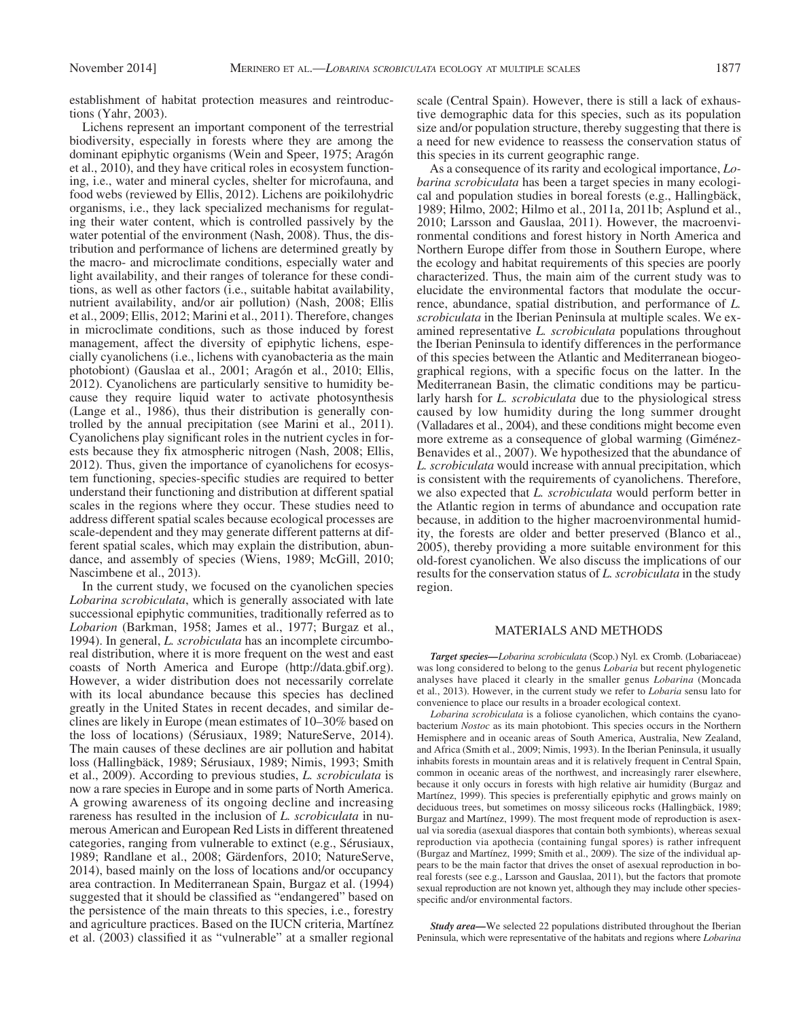establishment of habitat protection measures and reintroductions (Yahr, 2003).

 Lichens represent an important component of the terrestrial biodiversity, especially in forests where they are among the dominant epiphytic organisms (Wein and Speer, 1975; Aragón et al., 2010), and they have critical roles in ecosystem functioning, i.e., water and mineral cycles, shelter for microfauna, and food webs (reviewed by Ellis, 2012). Lichens are poikilohydric organisms, i.e., they lack specialized mechanisms for regulating their water content, which is controlled passively by the water potential of the environment (Nash, 2008). Thus, the distribution and performance of lichens are determined greatly by the macro- and microclimate conditions, especially water and light availability, and their ranges of tolerance for these conditions, as well as other factors (i.e., suitable habitat availability, nutrient availability, and/or air pollution) (Nash, 2008; Ellis et al., 2009; Ellis, 2012; Marini et al., 2011). Therefore, changes in microclimate conditions, such as those induced by forest management, affect the diversity of epiphytic lichens, especially cyanolichens (i.e., lichens with cyanobacteria as the main photobiont) (Gauslaa et al., 2001; Aragón et al., 2010; Ellis, 2012 ). Cyanolichens are particularly sensitive to humidity because they require liquid water to activate photosynthesis (Lange et al., 1986), thus their distribution is generally controlled by the annual precipitation (see Marini et al., 2011). Cyanolichens play significant roles in the nutrient cycles in forests because they fix atmospheric nitrogen (Nash, 2008; Ellis, 2012 ). Thus, given the importance of cyanolichens for ecosystem functioning, species-specific studies are required to better understand their functioning and distribution at different spatial scales in the regions where they occur. These studies need to address different spatial scales because ecological processes are scale-dependent and they may generate different patterns at different spatial scales, which may explain the distribution, abundance, and assembly of species (Wiens, 1989; McGill, 2010; Nascimbene et al., 2013).

 In the current study, we focused on the cyanolichen species *Lobarina scrobiculata* , which is generally associated with late successional epiphytic communities, traditionally referred as to *Lobarion* (Barkman, 1958; James et al., 1977; Burgaz et al., 1994 ). In general, *L. scrobiculata* has an incomplete circumboreal distribution, where it is more frequent on the west and east coasts of North America and Europe (http://data.gbif.org). However, a wider distribution does not necessarily correlate with its local abundance because this species has declined greatly in the United States in recent decades, and similar declines are likely in Europe (mean estimates of 10–30% based on the loss of locations) (Sérusiaux, 1989; NatureServe, 2014). The main causes of these declines are air pollution and habitat loss (Hallingbäck, 1989; Sérusiaux, 1989; Nimis, 1993; Smith et al., 2009 ). According to previous studies, *L. scrobiculata* is now a rare species in Europe and in some parts of North America. A growing awareness of its ongoing decline and increasing rareness has resulted in the inclusion of *L. scrobiculata* in numerous American and European Red Lists in different threatened categories, ranging from vulnerable to extinct (e.g., Sérusiaux, 1989; Randlane et al., 2008; Gärdenfors, 2010; NatureServe, 2014 ), based mainly on the loss of locations and/or occupancy area contraction. In Mediterranean Spain, Burgaz et al. (1994) suggested that it should be classified as "endangered" based on the persistence of the main threats to this species, i.e., forestry and agriculture practices. Based on the IUCN criteria, Martínez et al. (2003) classified it as "vulnerable" at a smaller regional

scale (Central Spain). However, there is still a lack of exhaustive demographic data for this species, such as its population size and/or population structure, thereby suggesting that there is a need for new evidence to reassess the conservation status of this species in its current geographic range.

 As a consequence of its rarity and ecological importance, *Lobarina scrobiculata* has been a target species in many ecological and population studies in boreal forests (e.g., Hallingbäck, 1989; Hilmo, 2002; Hilmo et al., 2011a, 2011b; Asplund et al., 2010; Larsson and Gauslaa, 2011). However, the macroenvironmental conditions and forest history in North America and Northern Europe differ from those in Southern Europe, where the ecology and habitat requirements of this species are poorly characterized. Thus, the main aim of the current study was to elucidate the environmental factors that modulate the occurrence, abundance, spatial distribution, and performance of *L. scrobiculata* in the Iberian Peninsula at multiple scales. We examined representative *L. scrobiculata* populations throughout the Iberian Peninsula to identify differences in the performance of this species between the Atlantic and Mediterranean biogeographical regions, with a specific focus on the latter. In the Mediterranean Basin, the climatic conditions may be particularly harsh for *L. scrobiculata* due to the physiological stress caused by low humidity during the long summer drought (Valladares et al., 2004), and these conditions might become even more extreme as a consequence of global warming (Giménez-Benavides et al., 2007). We hypothesized that the abundance of *L. scrobiculata* would increase with annual precipitation, which is consistent with the requirements of cyanolichens. Therefore, we also expected that *L. scrobiculata* would perform better in the Atlantic region in terms of abundance and occupation rate because, in addition to the higher macroenvironmental humidity, the forests are older and better preserved (Blanco et al., 2005 ), thereby providing a more suitable environment for this old-forest cyanolichen. We also discuss the implications of our results for the conservation status of *L. scrobiculata* in the study region.

#### MATERIALS AND METHODS

*Target species — Lobarina scrobiculata* (Scop.) Nyl. ex Cromb. (Lobariaceae) was long considered to belong to the genus *Lobaria* but recent phylogenetic analyses have placed it clearly in the smaller genus *Lobarina* ( Moncada et al., 2013 ). However, in the current study we refer to *Lobaria* sensu lato for convenience to place our results in a broader ecological context.

*Lobarina scrobiculata* is a foliose cyanolichen, which contains the cyanobacterium *Nostoc* as its main photobiont. This species occurs in the Northern Hemisphere and in oceanic areas of South America, Australia, New Zealand, and Africa (Smith et al., 2009; Nimis, 1993). In the Iberian Peninsula, it usually inhabits forests in mountain areas and it is relatively frequent in Central Spain, common in oceanic areas of the northwest, and increasingly rarer elsewhere, because it only occurs in forests with high relative air humidity (Burgaz and Martínez, 1999). This species is preferentially epiphytic and grows mainly on deciduous trees, but sometimes on mossy siliceous rocks (Hallingbäck, 1989; Burgaz and Martínez, 1999). The most frequent mode of reproduction is asexual via soredia (asexual diaspores that contain both symbionts), whereas sexual reproduction via apothecia (containing fungal spores) is rather infrequent (Burgaz and Martínez, 1999; Smith et al., 2009). The size of the individual appears to be the main factor that drives the onset of asexual reproduction in boreal forests (see e.g., Larsson and Gauslaa, 2011 ), but the factors that promote sexual reproduction are not known yet, although they may include other speciesspecific and/or environmental factors.

*Study area*—We selected 22 populations distributed throughout the Iberian Peninsula, which were representative of the habitats and regions where *Lobarina*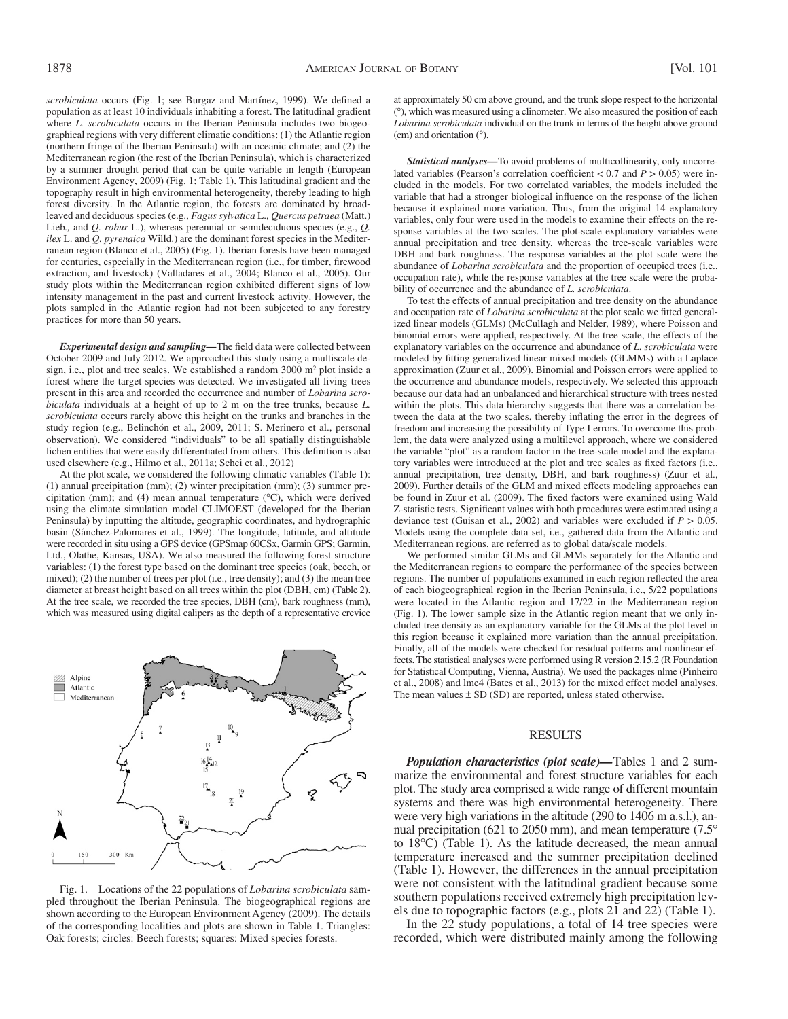*scrobiculata* occurs (Fig. 1; see Burgaz and Martínez, 1999). We defined a population as at least 10 individuals inhabiting a forest. The latitudinal gradient where *L. scrobiculata* occurs in the Iberian Peninsula includes two biogeographical regions with very different climatic conditions: (1) the Atlantic region (northern fringe of the Iberian Peninsula) with an oceanic climate; and (2) the Mediterranean region (the rest of the Iberian Peninsula), which is characterized by a summer drought period that can be quite variable in length (European Environment Agency, 2009) (Fig. 1; Table 1). This latitudinal gradient and the topography result in high environmental heterogeneity, thereby leading to high forest diversity. In the Atlantic region, the forests are dominated by broadleaved and deciduous species (e.g., *Fagus sylvatica* L., *Quercus petraea* (Matt.) Lieb., and *Q. robur* L.), whereas perennial or semideciduous species (e.g., *Q. ilex* L. and *Q. pyrenaica* Willd.) are the dominant forest species in the Mediterranean region (Blanco et al., 2005) (Fig. 1). Iberian forests have been managed for centuries, especially in the Mediterranean region (i.e., for timber, firewood extraction, and livestock) (Valladares et al., 2004; Blanco et al., 2005). Our study plots within the Mediterranean region exhibited different signs of low intensity management in the past and current livestock activity. However, the plots sampled in the Atlantic region had not been subjected to any forestry practices for more than 50 years.

*Experimental design and sampling*—The field data were collected between October 2009 and July 2012. We approached this study using a multiscale design, i.e., plot and tree scales. We established a random  $3000 \text{ m}^2$  plot inside a forest where the target species was detected. We investigated all living trees present in this area and recorded the occurrence and number of *Lobarina scrobiculata* individuals at a height of up to 2 m on the tree trunks, because *L. scrobiculata* occurs rarely above this height on the trunks and branches in the study region (e.g., Belinchón et al., 2009, 2011; S. Merinero et al., personal observation). We considered "individuals" to be all spatially distinguishable lichen entities that were easily differentiated from others. This definition is also used elsewhere (e.g., Hilmo et al., 2011a; Schei et al., 2012)

At the plot scale, we considered the following climatic variables (Table 1): (1) annual precipitation (mm); (2) winter precipitation (mm); (3) summer precipitation (mm); and (4) mean annual temperature  $({}^{\circ}C)$ , which were derived using the climate simulation model CLIMOEST (developed for the Iberian Peninsula) by inputting the altitude, geographic coordinates, and hydrographic basin (Sánchez-Palomares et al., 1999). The longitude, latitude, and altitude were recorded in situ using a GPS device (GPSmap 60CSx, Garmin GPS; Garmin, Ltd., Olathe, Kansas, USA). We also measured the following forest structure variables: (1) the forest type based on the dominant tree species (oak, beech, or mixed); (2) the number of trees per plot (i.e., tree density); and (3) the mean tree diameter at breast height based on all trees within the plot (DBH, cm) (Table 2). At the tree scale, we recorded the tree species, DBH (cm), bark roughness (mm), which was measured using digital calipers as the depth of a representative crevice



 Fig. 1. Locations of the 22 populations of *Lobarina scrobiculata* sampled throughout the Iberian Peninsula. The biogeographical regions are shown according to the European Environment Agency (2009). The details of the corresponding localities and plots are shown in Table 1. Triangles: Oak forests; circles: Beech forests; squares: Mixed species forests.

at approximately 50 cm above ground, and the trunk slope respect to the horizontal ( $^{\circ}$ ), which was measured using a clinometer. We also measured the position of each *Lobarina scrobiculata* individual on the trunk in terms of the height above ground (cm) and orientation  $(°)$ .

*Statistical analyses —* To avoid problems of multicollinearity, only uncorrelated variables (Pearson's correlation coefficient  $< 0.7$  and  $P > 0.05$ ) were included in the models. For two correlated variables, the models included the variable that had a stronger biological influence on the response of the lichen because it explained more variation. Thus, from the original 14 explanatory variables, only four were used in the models to examine their effects on the response variables at the two scales. The plot-scale explanatory variables were annual precipitation and tree density, whereas the tree-scale variables were DBH and bark roughness. The response variables at the plot scale were the abundance of *Lobarina scrobiculata* and the proportion of occupied trees (i.e., occupation rate), while the response variables at the tree scale were the probability of occurrence and the abundance of *L. scrobiculata* .

 To test the effects of annual precipitation and tree density on the abundance and occupation rate of *Lobarina scrobiculata* at the plot scale we fitted generalized linear models (GLMs) (McCullagh and Nelder, 1989), where Poisson and binomial errors were applied, respectively. At the tree scale, the effects of the explanatory variables on the occurrence and abundance of *L. scrobiculata* were modeled by fitting generalized linear mixed models (GLMMs) with a Laplace approximation (Zuur et al., 2009). Binomial and Poisson errors were applied to the occurrence and abundance models, respectively. We selected this approach because our data had an unbalanced and hierarchical structure with trees nested within the plots. This data hierarchy suggests that there was a correlation between the data at the two scales, thereby inflating the error in the degrees of freedom and increasing the possibility of Type I errors. To overcome this problem, the data were analyzed using a multilevel approach, where we considered the variable "plot" as a random factor in the tree-scale model and the explanatory variables were introduced at the plot and tree scales as fixed factors (i.e., annual precipitation, tree density, DBH, and bark roughness) (Zuur et al., 2009 ). Further details of the GLM and mixed effects modeling approaches can be found in Zuur et al. (2009). The fixed factors were examined using Wald Z-statistic tests. Significant values with both procedures were estimated using a deviance test (Guisan et al., 2002) and variables were excluded if  $P > 0.05$ . Models using the complete data set, i.e., gathered data from the Atlantic and Mediterranean regions, are referred as to global data/scale models.

 We performed similar GLMs and GLMMs separately for the Atlantic and the Mediterranean regions to compare the performance of the species between regions. The number of populations examined in each region reflected the area of each biogeographical region in the Iberian Peninsula, i.e., 5/22 populations were located in the Atlantic region and 17/22 in the Mediterranean region (Fig. 1). The lower sample size in the Atlantic region meant that we only included tree density as an explanatory variable for the GLMs at the plot level in this region because it explained more variation than the annual precipitation. Finally, all of the models were checked for residual patterns and nonlinear effects. The statistical analyses were performed using R version 2.15.2 (R Foundation for Statistical Computing, Vienna, Austria). We used the packages nlme (Pinheiro et al., 2008 ) and lme4 ( Bates et al., 2013 ) for the mixed effect model analyses. The mean values  $\pm$  SD (SD) are reported, unless stated otherwise.

### **RESULTS**

*Population characteristics (plot scale)*—Tables 1 and 2 summarize the environmental and forest structure variables for each plot. The study area comprised a wide range of different mountain systems and there was high environmental heterogeneity. There were very high variations in the altitude (290 to 1406 m a.s.l.), annual precipitation (621 to 2050 mm), and mean temperature (7.5° to  $18^{\circ}$ C) (Table 1). As the latitude decreased, the mean annual temperature increased and the summer precipitation declined (Table 1). However, the differences in the annual precipitation were not consistent with the latitudinal gradient because some southern populations received extremely high precipitation levels due to topographic factors (e.g., plots 21 and 22) (Table 1).

 In the 22 study populations, a total of 14 tree species were recorded, which were distributed mainly among the following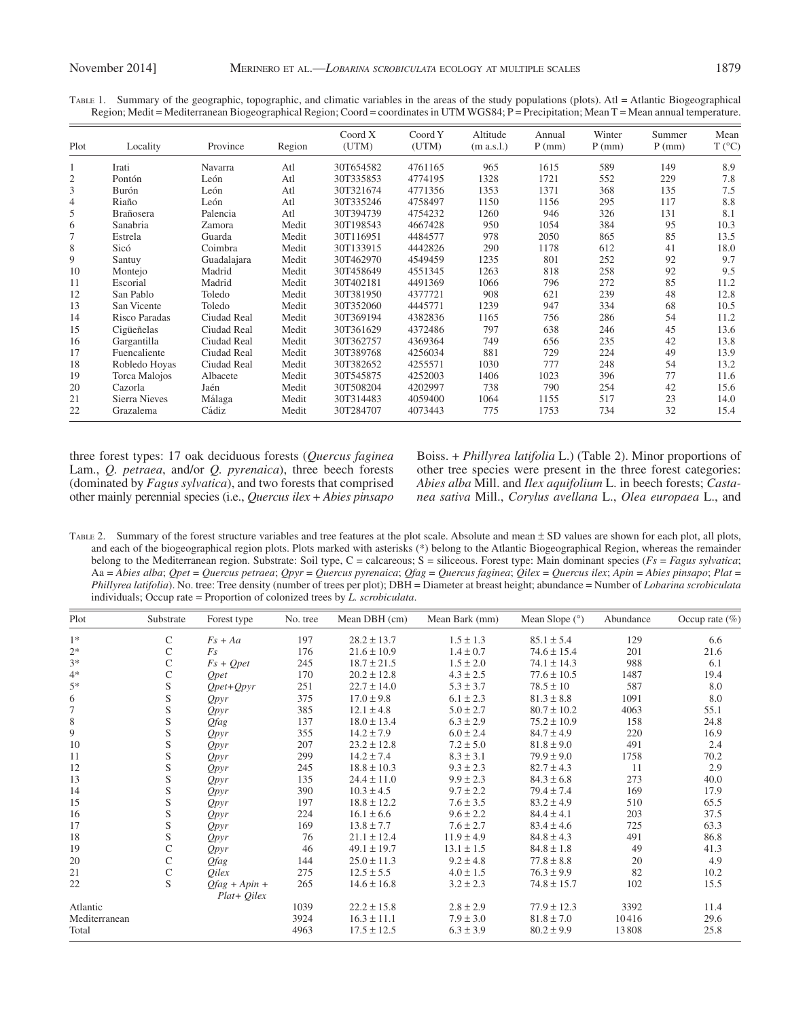| Plot           | Locality         | Province    | Region | Coord X<br>(UTM) | Coord Y<br>(UTM) | Altitude<br>(m a.s.l.) | Annual<br>$P$ (mm) | Winter<br>$P$ (mm) | Summer<br>$P$ (mm) | Mean<br>$T (^{\circ}C)$ |
|----------------|------------------|-------------|--------|------------------|------------------|------------------------|--------------------|--------------------|--------------------|-------------------------|
| 1              | Irati            | Navarra     | Atl    | 30T654582        | 4761165          | 965                    | 1615               | 589                | 149                | 8.9                     |
| $\overline{c}$ | Pontón           | León        | Atl    | 30T335853        | 4774195          | 1328                   | 1721               | 552                | 229                | 7.8                     |
| 3              | Burón            | León        | Atl    | 30T321674        | 4771356          | 1353                   | 1371               | 368                | 135                | 7.5                     |
| 4              | Riaño            | León        | Atl    | 30T335246        | 4758497          | 1150                   | 1156               | 295                | 117                | 8.8                     |
| 5              | <b>Brañosera</b> | Palencia    | Atl    | 30T394739        | 4754232          | 1260                   | 946                | 326                | 131                | 8.1                     |
| 6              | Sanabria         | Zamora      | Medit  | 30T198543        | 4667428          | 950                    | 1054               | 384                | 95                 | 10.3                    |
| 7              | Estrela          | Guarda      | Medit  | 30T116951        | 4484577          | 978                    | 2050               | 865                | 85                 | 13.5                    |
| 8              | Sicó             | Coimbra     | Medit  | 30T133915        | 4442826          | 290                    | 1178               | 612                | 41                 | 18.0                    |
| 9              | Santuy           | Guadalajara | Medit  | 30T462970        | 4549459          | 1235                   | 801                | 252                | 92                 | 9.7                     |
| 10             | Montejo          | Madrid      | Medit  | 30T458649        | 4551345          | 1263                   | 818                | 258                | 92                 | 9.5                     |
| 11             | Escorial         | Madrid      | Medit  | 30T402181        | 4491369          | 1066                   | 796                | 272                | 85                 | 11.2                    |
| 12             | San Pablo        | Toledo      | Medit  | 30T381950        | 4377721          | 908                    | 621                | 239                | 48                 | 12.8                    |
| 13             | San Vicente      | Toledo      | Medit  | 30T352060        | 4445771          | 1239                   | 947                | 334                | 68                 | 10.5                    |
| 14             | Risco Paradas    | Ciudad Real | Medit  | 30T369194        | 4382836          | 1165                   | 756                | 286                | 54                 | 11.2                    |
| 15             | Cigüeñelas       | Ciudad Real | Medit  | 30T361629        | 4372486          | 797                    | 638                | 246                | 45                 | 13.6                    |
| 16             | Gargantilla      | Ciudad Real | Medit  | 30T362757        | 4369364          | 749                    | 656                | 235                | 42                 | 13.8                    |
| 17             | Fuencaliente     | Ciudad Real | Medit  | 30T389768        | 4256034          | 881                    | 729                | 224                | 49                 | 13.9                    |
| 18             | Robledo Hoyas    | Ciudad Real | Medit  | 30T382652        | 4255571          | 1030                   | 777                | 248                | 54                 | 13.2                    |
| 19             | Torca Malojos    | Albacete    | Medit  | 30T545875        | 4252003          | 1406                   | 1023               | 396                | 77                 | 11.6                    |
| 20             | Cazorla          | Jaén        | Medit  | 30T508204        | 4202997          | 738                    | 790                | 254                | 42                 | 15.6                    |
| 21             | Sierra Nieves    | Málaga      | Medit  | 30T314483        | 4059400          | 1064                   | 1155               | 517                | 23                 | 14.0                    |
| 22             | Grazalema        | Cádiz       | Medit  | 30T284707        | 4073443          | 775                    | 1753               | 734                | 32                 | 15.4                    |

 TABLE 1. Summary of the geographic, topographic, and climatic variables in the areas of the study populations (plots). Atl = Atlantic Biogeographical Region; Medit = Mediterranean Biogeographical Region; Coord = coordinates in UTM WGS84;  $\overline{P}$  = Precipitation; Mean T = Mean annual temperature.

three forest types: 17 oak deciduous forests (*Quercus faginea* Lam., *Q. petraea*, and/or *Q. pyrenaica*), three beech forests (dominated by *Fagus sylvatica* ), and two forests that comprised other mainly perennial species (i.e., *Quercus ilex* + *Abies pinsapo*

Boiss. + *Phillyrea latifolia* L.) (Table 2). Minor proportions of other tree species were present in the three forest categories: *Abies alba* Mill. and *Ilex aquifolium* L. in beech forests; *Castanea sativa* Mill., *Corylus avellana* L., *Olea europaea* L., and

 TABLE 2. Summary of the forest structure variables and tree features at the plot scale. Absolute and mean ± SD values are shown for each plot, all plots, and each of the biogeographical region plots. Plots marked with asterisks (\*) belong to the Atlantic Biogeographical Region, whereas the remainder belong to the Mediterranean region. Substrate: Soil type, C = calcareous; S = siliceous. Forest type: Main dominant species (*Fs* = *Fagus sylvatica*; Aa = Abies alba; Qpet = Quercus petraea; Qpyr = Quercus pyrenaica; Qfag = Quercus faginea; Qilex = Quercus ilex; Apin = Abies pinsapo; Plat = *Phillyrea latifolia* ). No. tree: Tree density (number of trees per plot); DBH = Diameter at breast height; abundance = Number of *Lobarina scrobiculata* individuals; Occup rate = Proportion of colonized trees by *L. scrobiculata* .

| Plot          | Substrate    | Forest type                    | No. tree | Mean DBH (cm)   | Mean Bark (mm) | Mean Slope $(°)$ | Abundance | Occup rate $(\% )$ |
|---------------|--------------|--------------------------------|----------|-----------------|----------------|------------------|-----------|--------------------|
| $1*$          | C            | $Fs + Aa$                      | 197      | $28.2 \pm 13.7$ | $1.5 \pm 1.3$  | $85.1 \pm 5.4$   | 129       | 6.6                |
| $2*$          | C            | Fs                             | 176      | $21.6 \pm 10.9$ | $1.4 \pm 0.7$  | $74.6 \pm 15.4$  | 201       | 21.6               |
| $3*$          | C            | $Fs + Qpet$                    | 245      | $18.7 \pm 21.5$ | $1.5 \pm 2.0$  | $74.1 \pm 14.3$  | 988       | 6.1                |
| $4*$          | C            | <i><u>Opet</u></i>             | 170      | $20.2 \pm 12.8$ | $4.3 \pm 2.5$  | $77.6 \pm 10.5$  | 1487      | 19.4               |
| $5*$          | S            | $Qpet+Qpyr$                    | 251      | $22.7 \pm 14.0$ | $5.3 \pm 3.7$  | $78.5 \pm 10$    | 587       | 8.0                |
| 6             | S            | Qpyr                           | 375      | $17.0 \pm 9.8$  | $6.1 \pm 2.3$  | $81.3 \pm 8.8$   | 1091      | 8.0                |
| 7             | S            | Qpyr                           | 385      | $12.1 \pm 4.8$  | $5.0 \pm 2.7$  | $80.7 \pm 10.2$  | 4063      | 55.1               |
| 8             | S            | <i><b>Qfag</b></i>             | 137      | $18.0 \pm 13.4$ | $6.3 \pm 2.9$  | $75.2 \pm 10.9$  | 158       | 24.8               |
| 9             | S            | Qpyr                           | 355      | $14.2 \pm 7.9$  | $6.0 \pm 2.4$  | $84.7 \pm 4.9$   | 220       | 16.9               |
| 10            | S            | Qpyr                           | 207      | $23.2 \pm 12.8$ | $7.2 \pm 5.0$  | $81.8 \pm 9.0$   | 491       | 2.4                |
| 11            | S            | Qpyr                           | 299      | $14.2 \pm 7.4$  | $8.3 \pm 3.1$  | $79.9 \pm 9.0$   | 1758      | 70.2               |
| 12            | S            | Qpyr                           | 245      | $18.8 \pm 10.3$ | $9.3 \pm 2.3$  | $82.7 \pm 4.3$   | 11        | 2.9                |
| 13            | S            | Qpyr                           | 135      | $24.4 \pm 11.0$ | $9.9 \pm 2.3$  | $84.3 \pm 6.8$   | 273       | 40.0               |
| 14            | S            | Qpyr                           | 390      | $10.3 \pm 4.5$  | $9.7 \pm 2.2$  | $79.4 \pm 7.4$   | 169       | 17.9               |
| 15            | S            | Qpyr                           | 197      | $18.8 \pm 12.2$ | $7.6 \pm 3.5$  | $83.2 \pm 4.9$   | 510       | 65.5               |
| 16            | S            | Qpyr                           | 224      | $16.1 \pm 6.6$  | $9.6 \pm 2.2$  | $84.4 \pm 4.1$   | 203       | 37.5               |
| 17            | S            | Qpyr                           | 169      | $13.8 \pm 7.7$  | $7.6 \pm 2.7$  | $83.4 \pm 4.6$   | 725       | 63.3               |
| 18            | S            | Qpyr                           | 76       | $21.1 \pm 12.4$ | $11.9 \pm 4.9$ | $84.8 \pm 4.3$   | 491       | 86.8               |
| 19            | C            | Qpyr                           | 46       | $49.1 \pm 19.7$ | $13.1 \pm 1.5$ | $84.8 \pm 1.8$   | 49        | 41.3               |
| 20            | $\mathsf{C}$ | <i><b>Qfag</b></i>             | 144      | $25.0 \pm 11.3$ | $9.2 \pm 4.8$  | $77.8 \pm 8.8$   | 20        | 4.9                |
| 21            | C            | <i><u>Oilex</u></i>            | 275      | $12.5 \pm 5.5$  | $4.0 \pm 1.5$  | $76.3 \pm 9.9$   | 82        | 10.2               |
| 22            | S            | $Qfag + Apin +$<br>Plat+ Oilex | 265      | $14.6 \pm 16.8$ | $3.2 \pm 2.3$  | $74.8 \pm 15.7$  | 102       | 15.5               |
| Atlantic      |              |                                | 1039     | $22.2 \pm 15.8$ | $2.8 \pm 2.9$  | $77.9 \pm 12.3$  | 3392      | 11.4               |
| Mediterranean |              |                                | 3924     | $16.3 \pm 11.1$ | $7.9 \pm 3.0$  | $81.8 \pm 7.0$   | 10416     | 29.6               |
| Total         |              |                                | 4963     | $17.5 \pm 12.5$ | $6.3 \pm 3.9$  | $80.2 \pm 9.9$   | 13808     | 25.8               |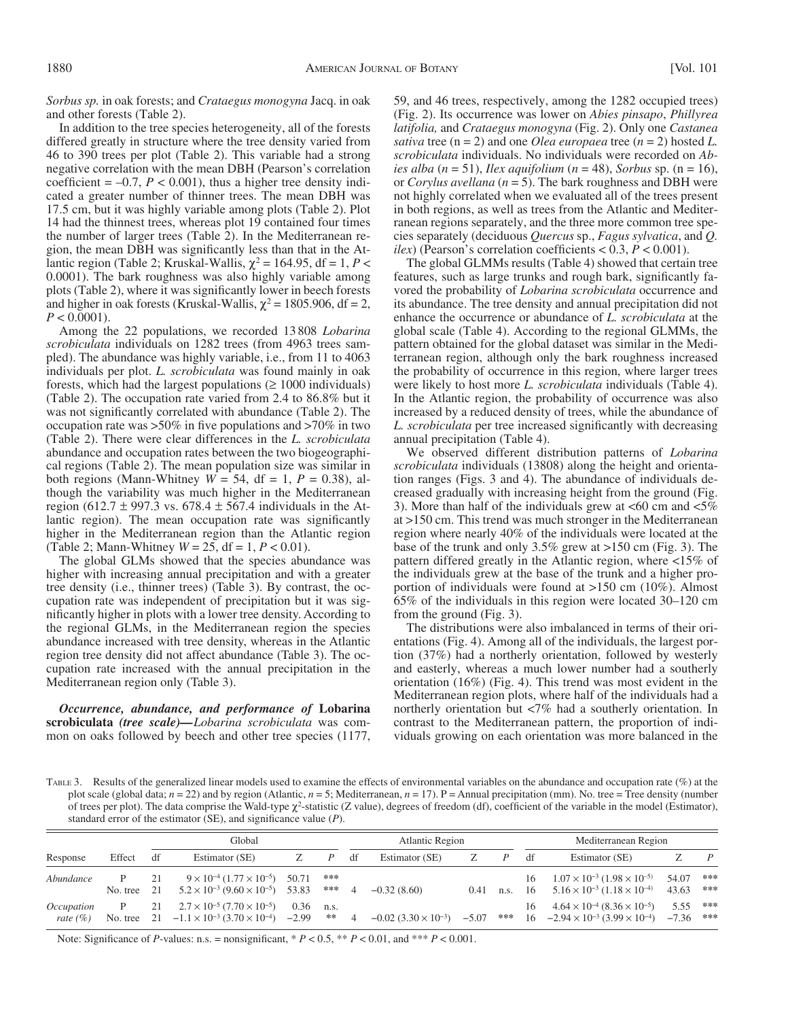*Sorbus sp.* in oak forests; and *Crataegus monogyna* Jacq. in oak and other forests (Table 2).

 In addition to the tree species heterogeneity, all of the forests differed greatly in structure where the tree density varied from 46 to 390 trees per plot (Table 2). This variable had a strong negative correlation with the mean DBH (Pearson's correlation coefficient =  $-0.7$ ,  $P < 0.001$ ), thus a higher tree density indicated a greater number of thinner trees. The mean DBH was 17.5 cm, but it was highly variable among plots (Table 2). Plot 14 had the thinnest trees, whereas plot 19 contained four times the number of larger trees (Table 2). In the Mediterranean region, the mean DBH was significantly less than that in the Atlantic region (Table 2; Kruskal-Wallis,  $\chi^2 = 164.95$ , df = 1, P < 0.0001). The bark roughness was also highly variable among plots (Table 2), where it was significantly lower in beech forests and higher in oak forests (Kruskal-Wallis,  $\chi^2$  = 1805.906, df = 2,  $P < 0.0001$ ).

 Among the 22 populations, we recorded 13 808 *Lobarina scrobiculata* individuals on 1282 trees (from 4963 trees sampled). The abundance was highly variable, i.e., from 11 to 4063 individuals per plot. *L. scrobiculata* was found mainly in oak forests, which had the largest populations  $( \geq 1000 \text{ individuals} )$ (Table 2). The occupation rate varied from  $2.4$  to  $86.8\%$  but it was not significantly correlated with abundance (Table 2). The occupation rate was  $>50\%$  in five populations and  $>70\%$  in two (Table 2). There were clear differences in the *L. scrobiculata* abundance and occupation rates between the two biogeographical regions (Table 2). The mean population size was similar in both regions (Mann-Whitney  $W = 54$ , df = 1,  $P = 0.38$ ), although the variability was much higher in the Mediterranean region (612.7  $\pm$  997.3 vs. 678.4  $\pm$  567.4 individuals in the Atlantic region). The mean occupation rate was significantly higher in the Mediterranean region than the Atlantic region (Table 2; Mann-Whitney  $W = 25$ , df = 1,  $P < 0.01$ ).

 The global GLMs showed that the species abundance was higher with increasing annual precipitation and with a greater tree density (i.e., thinner trees) (Table 3). By contrast, the occupation rate was independent of precipitation but it was significantly higher in plots with a lower tree density. According to the regional GLMs, in the Mediterranean region the species abundance increased with tree density, whereas in the Atlantic region tree density did not affect abundance (Table 3). The occupation rate increased with the annual precipitation in the Mediterranean region only (Table 3).

*Occurrence, abundance, and performance of* **Lobarina scrobiculata** *(tree scale) — Lobarina scrobiculata* was common on oaks followed by beech and other tree species (1177, 59, and 46 trees, respectively, among the 1282 occupied trees) ( Fig. 2 ) . Its occurrence was lower on *Abies pinsapo* , *Phillyrea latifolia, and Crataegus monogyna* (Fig. 2). Only one *Castanea sativa* tree ( $n = 2$ ) and one *Olea europaea* tree ( $n = 2$ ) hosted *L*. *scrobiculata* individuals. No individuals were recorded on *Abies alba* ( *n* = 51), *Ilex aquifolium* ( *n* = 48), *Sorbus* sp. (n = 16), or *Corylus avellana* ( $n = 5$ ). The bark roughness and DBH were not highly correlated when we evaluated all of the trees present in both regions, as well as trees from the Atlantic and Mediterranean regions separately, and the three more common tree species separately (deciduous *Quercus* sp., *Fagus sylvatica* , and *Q. ilex*) (Pearson's correlation coefficients  $< 0.3, P < 0.001$ ).

The global GLMMs results (Table 4) showed that certain tree features, such as large trunks and rough bark, significantly favored the probability of *Lobarina scrobiculata* occurrence and its abundance. The tree density and annual precipitation did not enhance the occurrence or abundance of *L. scrobiculata* at the global scale (Table 4). According to the regional GLMMs, the pattern obtained for the global dataset was similar in the Mediterranean region, although only the bark roughness increased the probability of occurrence in this region, where larger trees were likely to host more *L. scrobiculata* individuals (Table 4). In the Atlantic region, the probability of occurrence was also increased by a reduced density of trees, while the abundance of *L. scrobiculata* per tree increased significantly with decreasing annual precipitation (Table 4).

 We observed different distribution patterns of *Lobarina scrobiculata* individuals (13808) along the height and orientation ranges (Figs. 3 and 4). The abundance of individuals decreased gradually with increasing height from the ground (Fig. 3). More than half of the individuals grew at  $\langle 60 \text{ cm and } \langle 5\% \rangle$ at >150 cm. This trend was much stronger in the Mediterranean region where nearly 40% of the individuals were located at the base of the trunk and only  $3.5\%$  grew at  $>150$  cm (Fig. 3). The pattern differed greatly in the Atlantic region, where <15% of the individuals grew at the base of the trunk and a higher proportion of individuals were found at >150 cm (10%). Almost 65% of the individuals in this region were located 30–120 cm from the ground  $(Fig. 3)$ .

 The distributions were also imbalanced in terms of their orientations (Fig. 4). Among all of the individuals, the largest portion (37%) had a northerly orientation, followed by westerly and easterly, whereas a much lower number had a southerly orientation  $(16\%)$  (Fig. 4). This trend was most evident in the Mediterranean region plots, where half of the individuals had a northerly orientation but <7% had a southerly orientation. In contrast to the Mediterranean pattern, the proportion of individuals growing on each orientation was more balanced in the

 TABLE 3. Results of the generalized linear models used to examine the effects of environmental variables on the abundance and occupation rate (%) at the plot scale (global data;  $n = 22$ ) and by region (Atlantic,  $n = 5$ ; Mediterranean,  $n = 17$ ). P = Annual precipitation (mm). No. tree = Tree density (number of trees per plot). The data comprise the Wald-type  $\chi^2$ -statistic (Z value), degrees of freedom (df), coefficient of the variable in the model (Estimator), standard error of the estimator (SE), and significance value  $(P)$ .

|                            |               | Global |                                                                                                                        |   |            | <b>Atlantic Region</b> |                |                |                |    | Mediterranean Region                                                                                                                                             |                     |                |  |
|----------------------------|---------------|--------|------------------------------------------------------------------------------------------------------------------------|---|------------|------------------------|----------------|----------------|----------------|----|------------------------------------------------------------------------------------------------------------------------------------------------------------------|---------------------|----------------|--|
| Response                   | Effect        | df     | Estimator (SE)                                                                                                         | Z | $P$ -      | df                     | Estimator (SE) | Z              | $\overline{P}$ | df | Estimator (SE)                                                                                                                                                   |                     | $\overline{P}$ |  |
| Abundance                  | P<br>No. tree | 21     | $9 \times 10^{-4}$ (1.77 $\times 10^{-5}$ ) 50.71<br>21 $5.2 \times 10^{-3} (9.60 \times 10^{-5})$ 53.83               |   | ***<br>*** | $\overline{4}$         | $-0.32(8.60)$  | $0.41$ n.s. 16 |                | 16 | $1.07 \times 10^{-3}$ $(1.98 \times 10^{-5})$ 54.07<br>$5.16 \times 10^{-3}$ (1.18 $\times 10^{-4}$ )                                                            | 43.63               | ***<br>***     |  |
| Occupation<br>rate $(\% )$ | $\mathbf{P}$  | 21     | $2.7 \times 10^{-5}$ (7.70 $\times 10^{-5}$ ) 0.36<br>No. tree $21 -1.1 \times 10^{-3} (3.70 \times 10^{-4}) -2.99$ ** |   | n.s.       | $\overline{4}$         |                |                |                | 16 | $4.64 \times 10^{-4} (8.36 \times 10^{-5})$<br>$-0.02$ (3.30 $\times$ 10 <sup>-3</sup> ) $-5.07$ *** 16 $-2.94 \times 10^{-3}$ (3.99 $\times$ 10 <sup>-4</sup> ) | 5.55<br>$-7.36$ *** | ***            |  |

Note: Significance of *P*-values: n.s. = nonsignificant, \*  $P < 0.5$ , \*\*  $P < 0.01$ , and \*\*\*  $P < 0.001$ .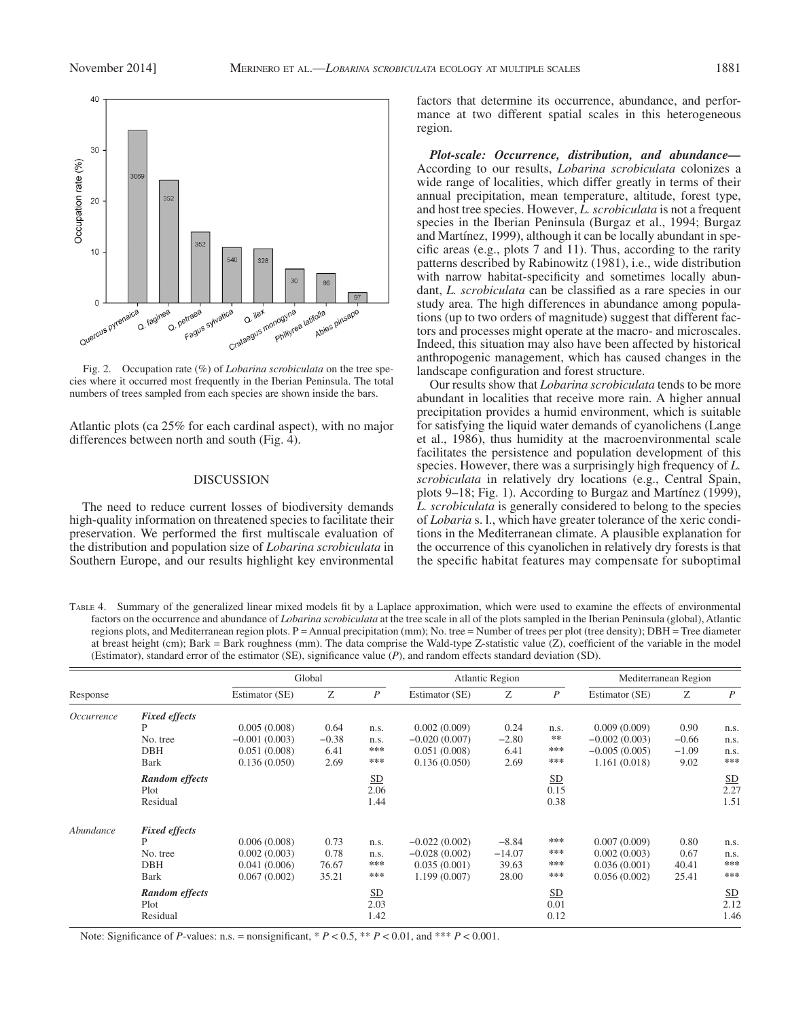

 Fig. 2. Occupation rate (%) of *Lobarina scrobiculata* on the tree species where it occurred most frequently in the Iberian Peninsula. The total numbers of trees sampled from each species are shown inside the bars.

Atlantic plots (ca 25% for each cardinal aspect), with no major differences between north and south (Fig. 4).

# DISCUSSION

 The need to reduce current losses of biodiversity demands high-quality information on threatened species to facilitate their preservation. We performed the first multiscale evaluation of the distribution and population size of *Lobarina scrobiculata* in Southern Europe, and our results highlight key environmental

factors that determine its occurrence, abundance, and performance at two different spatial scales in this heterogeneous region.

*Plot-scale: Occurrence, distribution, and abundance —*  According to our results, *Lobarina scrobiculata* colonizes a wide range of localities, which differ greatly in terms of their annual precipitation, mean temperature, altitude, forest type, and host tree species. However, *L. scrobiculata* is not a frequent species in the Iberian Peninsula (Burgaz et al., 1994; Burgaz and Martínez, 1999), although it can be locally abundant in specific areas (e.g., plots  $7$  and  $11$ ). Thus, according to the rarity patterns described by Rabinowitz (1981), i.e., wide distribution with narrow habitat-specificity and sometimes locally abundant, *L. scrobiculata* can be classified as a rare species in our study area. The high differences in abundance among populations (up to two orders of magnitude) suggest that different factors and processes might operate at the macro- and microscales. Indeed, this situation may also have been affected by historical anthropogenic management, which has caused changes in the landscape configuration and forest structure.

 Our results show that *Lobarina scrobiculata* tends to be more abundant in localities that receive more rain. A higher annual precipitation provides a humid environment, which is suitable for satisfying the liquid water demands of cyanolichens (Lange et al., 1986), thus humidity at the macroenvironmental scale facilitates the persistence and population development of this species. However, there was a surprisingly high frequency of *L. scrobiculata* in relatively dry locations (e.g., Central Spain, plots 9–18; Fig. 1). According to Burgaz and Martínez (1999), *L. scrobiculata* is generally considered to belong to the species of *Lobaria* s. l., which have greater tolerance of the xeric conditions in the Mediterranean climate. A plausible explanation for the occurrence of this cyanolichen in relatively dry forests is that the specific habitat features may compensate for suboptimal

 TABLE 4. Summary of the generalized linear mixed models fi t by a Laplace approximation, which were used to examine the effects of environmental factors on the occurrence and abundance of *Lobarina scrobiculata* at the tree scale in all of the plots sampled in the Iberian Peninsula (global), Atlantic regions plots, and Mediterranean region plots. P = Annual precipitation (mm); No. tree = Number of trees per plot (tree density); DBH = Tree diameter at breast height (cm); Bark = Bark roughness (mm). The data comprise the Wald-type Z-statistic value (Z), coefficient of the variable in the model (Estimator), standard error of the estimator (SE), significance value (P), and random effects standard deviation (SD).

|            |                       |                 | Global  |                           |                 | <b>Atlantic Region</b> | Mediterranean Region      |                 |         |                |
|------------|-----------------------|-----------------|---------|---------------------------|-----------------|------------------------|---------------------------|-----------------|---------|----------------|
| Response   |                       | Estimator (SE)  | Ζ       | $\boldsymbol{P}$          | Estimator (SE)  | Ζ                      | $\boldsymbol{P}$          | Estimator (SE)  | Z       | $\overline{P}$ |
| Occurrence | <b>Fixed effects</b>  |                 |         |                           |                 |                        |                           |                 |         |                |
|            | P                     | 0.005(0.008)    | 0.64    | n.s.                      | 0.002(0.009)    | 0.24                   | n.s.                      | 0.009(0.009)    | 0.90    | n.s.           |
|            | No. tree              | $-0.001(0.003)$ | $-0.38$ | n.s.                      | $-0.020(0.007)$ | $-2.80$                | $**$                      | $-0.002(0.003)$ | $-0.66$ | n.s.           |
|            | <b>DBH</b>            | 0.051(0.008)    | 6.41    | ***                       | 0.051(0.008)    | 6.41                   | ***                       | $-0.005(0.005)$ | $-1.09$ | n.s.           |
|            | Bark                  | 0.136(0.050)    | 2.69    | ***                       | 0.136(0.050)    | 2.69                   | ***                       | 1.161(0.018)    | 9.02    | ***            |
|            | <b>Random</b> effects |                 |         | <b>SD</b>                 |                 |                        | SD                        |                 |         | SD             |
|            | Plot                  |                 |         | 2.06                      |                 |                        | 0.15                      |                 |         | 2.27           |
|            | Residual              |                 |         | 1.44                      |                 |                        | 0.38                      |                 |         | 1.51           |
| Abundance  | <b>Fixed effects</b>  |                 |         |                           |                 |                        |                           |                 |         |                |
|            | P                     | 0.006(0.008)    | 0.73    | n.s.                      | $-0.022(0.002)$ | $-8.84$                | ***                       | 0.007(0.009)    | 0.80    | n.s.           |
|            | No. tree              | 0.002(0.003)    | 0.78    | n.s.                      | $-0.028(0.002)$ | $-14.07$               | ***                       | 0.002(0.003)    | 0.67    | n.s.           |
|            | DBH                   | 0.041(0.006)    | 76.67   | ***                       | 0.035(0.001)    | 39.63                  | ***                       | 0.036(0.001)    | 40.41   | ***            |
|            | Bark                  | 0.067(0.002)    | 35.21   | ***                       | 1.199(0.007)    | 28.00                  | ***                       | 0.056(0.002)    | 25.41   | ***            |
|            | <b>Random</b> effects |                 |         | $\underline{\mathrm{SD}}$ |                 |                        | $\underline{\mathrm{SD}}$ |                 |         | SD             |
|            | Plot                  |                 |         | 2.03                      |                 |                        | 0.01                      |                 |         | 2.12           |
|            | Residual              |                 |         | 1.42                      |                 |                        | 0.12                      |                 |         | 1.46           |

Note: Significance of *P*-values: n.s. = nonsignificant,  $* P < 0.5$ ,  $* P < 0.01$ , and  $* * P < 0.001$ .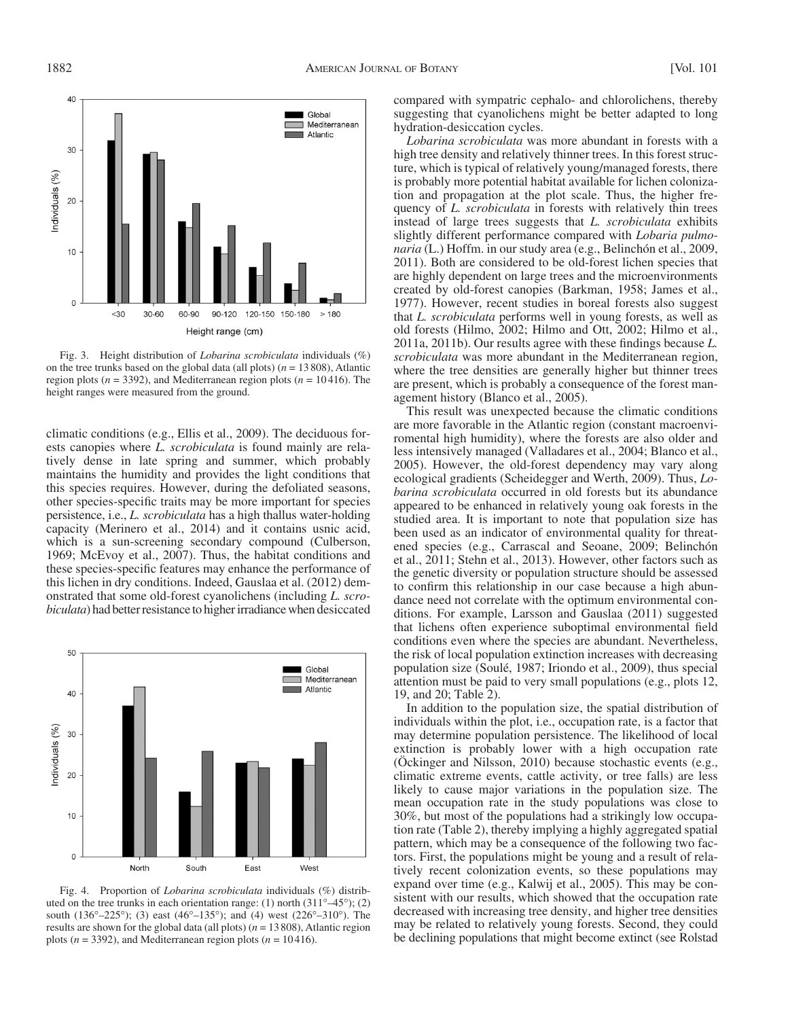

 Fig. 3. Height distribution of *Lobarina scrobiculata* individuals (%) on the tree trunks based on the global data (all plots)  $(n = 13808)$ , Atlantic region plots ( $n = 3392$ ), and Mediterranean region plots ( $n = 10416$ ). The height ranges were measured from the ground.

climatic conditions (e.g., Ellis et al., 2009 ). The deciduous forests canopies where *L. scrobiculata* is found mainly are relatively dense in late spring and summer, which probably maintains the humidity and provides the light conditions that this species requires. However, during the defoliated seasons, other species-specific traits may be more important for species persistence, i.e., *L. scrobiculata* has a high thallus water-holding capacity (Merinero et al., 2014) and it contains usnic acid, which is a sun-screening secondary compound (Culberson, 1969; McEvoy et al., 2007). Thus, the habitat conditions and these species-specific features may enhance the performance of this lichen in dry conditions. Indeed, Gauslaa et al. (2012) demonstrated that some old-forest cyanolichens (including *L. scrobiculata* ) had better resistance to higher irradiance when desiccated



 Fig. 4. Proportion of *Lobarina scrobiculata* individuals (%) distributed on the tree trunks in each orientation range: (1) north  $(311^{\circ} - 45^{\circ})$ ; (2) south (136 $^{\circ}$ -225 $^{\circ}$ ); (3) east (46 $^{\circ}$ -135 $^{\circ}$ ); and (4) west (226 $^{\circ}$ -310 $^{\circ}$ ). The results are shown for the global data (all plots)  $(n = 13808)$ , Atlantic region plots ( $n = 3392$ ), and Mediterranean region plots ( $n = 10416$ ).

compared with sympatric cephalo- and chlorolichens, thereby suggesting that cyanolichens might be better adapted to long hydration-desiccation cycles.

*Lobarina scrobiculata* was more abundant in forests with a high tree density and relatively thinner trees. In this forest structure, which is typical of relatively young/managed forests, there is probably more potential habitat available for lichen colonization and propagation at the plot scale. Thus, the higher frequency of *L. scrobiculata* in forests with relatively thin trees instead of large trees suggests that *L. scrobiculata* exhibits slightly different performance compared with *Lobaria pulmonaria* (L.) Hoffm. in our study area (e.g., Belinchón et al., 2009, 2011 ). Both are considered to be old-forest lichen species that are highly dependent on large trees and the microenvironments created by old-forest canopies (Barkman, 1958; James et al., 1977 ). However, recent studies in boreal forests also suggest that *L. scrobiculata* performs well in young forests, as well as old forests (Hilmo, 2002; Hilmo and Ott, 2002; Hilmo et al., 2011a, 2011b). Our results agree with these findings because *L*. *scrobiculata* was more abundant in the Mediterranean region, where the tree densities are generally higher but thinner trees are present, which is probably a consequence of the forest management history (Blanco et al., 2005).

 This result was unexpected because the climatic conditions are more favorable in the Atlantic region (constant macroenviromental high humidity), where the forests are also older and less intensively managed (Valladares et al., 2004; Blanco et al., 2005 ). However, the old-forest dependency may vary along ecological gradients ( Scheidegger and Werth, 2009 ). Thus, *Lobarina scrobiculata* occurred in old forests but its abundance appeared to be enhanced in relatively young oak forests in the studied area. It is important to note that population size has been used as an indicator of environmental quality for threatened species (e.g., Carrascal and Seoane, 2009; Belinchón et al., 2011; Stehn et al., 2013). However, other factors such as the genetic diversity or population structure should be assessed to confirm this relationship in our case because a high abundance need not correlate with the optimum environmental conditions. For example, Larsson and Gauslaa (2011) suggested that lichens often experience suboptimal environmental field conditions even where the species are abundant. Nevertheless, the risk of local population extinction increases with decreasing population size (Soulé, 1987; Iriondo et al., 2009), thus special attention must be paid to very small populations (e.g., plots 12, 19, and 20; Table 2).

 In addition to the population size, the spatial distribution of individuals within the plot, i.e., occupation rate, is a factor that may determine population persistence. The likelihood of local extinction is probably lower with a high occupation rate ( Öckinger and Nilsson, 2010 ) because stochastic events (e.g., climatic extreme events, cattle activity, or tree falls) are less likely to cause major variations in the population size. The mean occupation rate in the study populations was close to 30%, but most of the populations had a strikingly low occupation rate (Table 2), thereby implying a highly aggregated spatial pattern, which may be a consequence of the following two factors. First, the populations might be young and a result of relatively recent colonization events, so these populations may expand over time (e.g., Kalwij et al., 2005). This may be consistent with our results, which showed that the occupation rate decreased with increasing tree density, and higher tree densities may be related to relatively young forests. Second, they could be declining populations that might become extinct (see Rolstad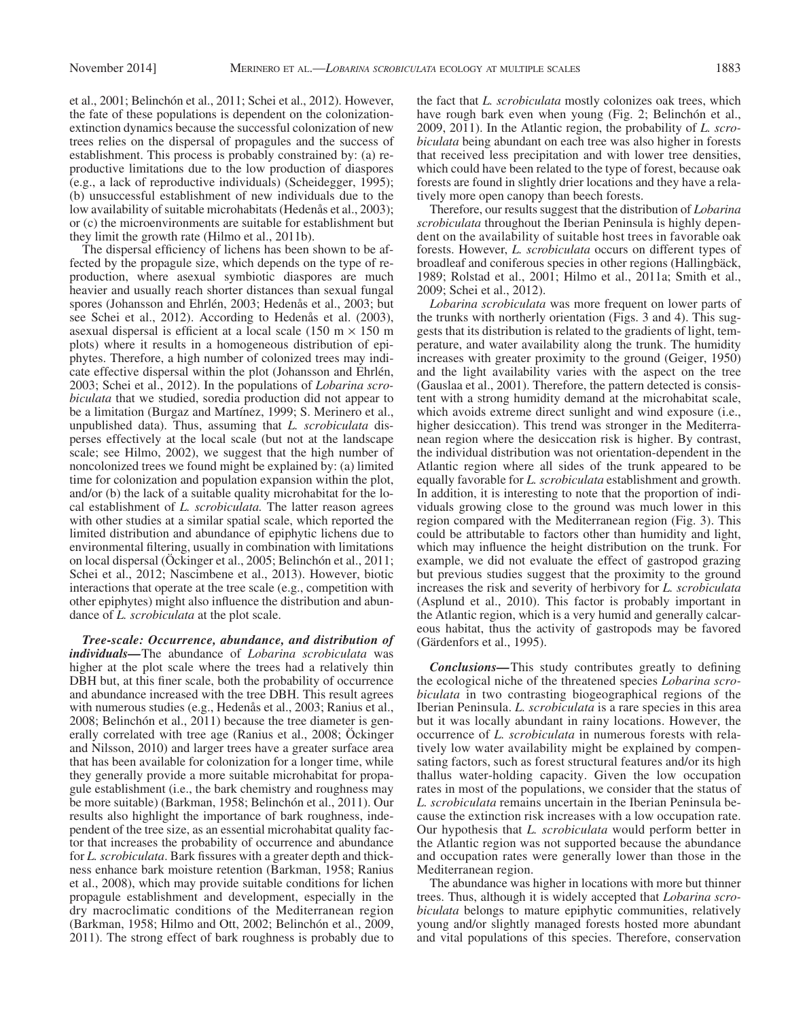et al., 2001; Belinchón et al., 2011; Schei et al., 2012). However, the fate of these populations is dependent on the colonizationextinction dynamics because the successful colonization of new trees relies on the dispersal of propagules and the success of establishment. This process is probably constrained by: (a) reproductive limitations due to the low production of diaspores (e.g., a lack of reproductive individuals) ( Scheidegger, 1995 ); (b) unsuccessful establishment of new individuals due to the low availability of suitable microhabitats (Hedenås et al., 2003); or (c) the microenvironments are suitable for establishment but they limit the growth rate (Hilmo et al., 2011b).

The dispersal efficiency of lichens has been shown to be affected by the propagule size, which depends on the type of reproduction, where asexual symbiotic diaspores are much heavier and usually reach shorter distances than sexual fungal spores (Johansson and Ehrlén, 2003; Hedenås et al., 2003; but see Schei et al., 2012). According to Hedenås et al. (2003), asexual dispersal is efficient at a local scale (150 m  $\times$  150 m plots) where it results in a homogeneous distribution of epiphytes. Therefore, a high number of colonized trees may indicate effective dispersal within the plot ( Johansson and Ehrlén, 2003; Schei et al., 2012). In the populations of *Lobarina scrobiculata* that we studied, soredia production did not appear to be a limitation (Burgaz and Martínez, 1999; S. Merinero et al., unpublished data). Thus, assuming that *L. scrobiculata* disperses effectively at the local scale (but not at the landscape scale; see Hilmo, 2002), we suggest that the high number of noncolonized trees we found might be explained by: (a) limited time for colonization and population expansion within the plot, and/or (b) the lack of a suitable quality microhabitat for the local establishment of *L. scrobiculata.* The latter reason agrees with other studies at a similar spatial scale, which reported the limited distribution and abundance of epiphytic lichens due to environmental filtering, usually in combination with limitations on local dispersal ( Öckinger et al., 2005 ; Belinchón et al., 2011 ; Schei et al., 2012; Nascimbene et al., 2013). However, biotic interactions that operate at the tree scale (e.g., competition with other epiphytes) might also influence the distribution and abundance of *L. scrobiculata* at the plot scale.

*Tree-scale: Occurrence, abundance, and distribution of individuals —* The abundance of *Lobarina scrobiculata* was higher at the plot scale where the trees had a relatively thin DBH but, at this finer scale, both the probability of occurrence and abundance increased with the tree DBH. This result agrees with numerous studies (e.g., Hedenås et al., 2003; Ranius et al., 2008; Belinchón et al., 2011) because the tree diameter is generally correlated with tree age (Ranius et al., 2008; Öckinger and Nilsson, 2010) and larger trees have a greater surface area that has been available for colonization for a longer time, while they generally provide a more suitable microhabitat for propagule establishment (i.e., the bark chemistry and roughness may be more suitable) (Barkman, 1958; Belinchón et al., 2011). Our results also highlight the importance of bark roughness, independent of the tree size, as an essential microhabitat quality factor that increases the probability of occurrence and abundance for *L. scrobiculata*. Bark fissures with a greater depth and thickness enhance bark moisture retention (Barkman, 1958; Ranius et al., 2008), which may provide suitable conditions for lichen propagule establishment and development, especially in the dry macroclimatic conditions of the Mediterranean region (Barkman, 1958; Hilmo and Ott, 2002; Belinchón et al., 2009, 2011). The strong effect of bark roughness is probably due to

the fact that *L. scrobiculata* mostly colonizes oak trees, which have rough bark even when young (Fig. 2; Belinchón et al., 2009 , 2011 ). In the Atlantic region, the probability of *L. scrobiculata* being abundant on each tree was also higher in forests that received less precipitation and with lower tree densities, which could have been related to the type of forest, because oak forests are found in slightly drier locations and they have a relatively more open canopy than beech forests.

 Therefore, our results suggest that the distribution of *Lobarina scrobiculata* throughout the Iberian Peninsula is highly dependent on the availability of suitable host trees in favorable oak forests. However, *L. scrobiculata* occurs on different types of broadleaf and coniferous species in other regions (Hallingbäck, 1989; Rolstad et al., 2001; Hilmo et al., 2011a; Smith et al., 2009; Schei et al., 2012).

*Lobarina scrobiculata* was more frequent on lower parts of the trunks with northerly orientation (Figs. 3 and 4). This suggests that its distribution is related to the gradients of light, temperature, and water availability along the trunk. The humidity increases with greater proximity to the ground (Geiger, 1950) and the light availability varies with the aspect on the tree (Gauslaa et al., 2001). Therefore, the pattern detected is consistent with a strong humidity demand at the microhabitat scale, which avoids extreme direct sunlight and wind exposure (i.e., higher desiccation). This trend was stronger in the Mediterranean region where the desiccation risk is higher. By contrast, the individual distribution was not orientation-dependent in the Atlantic region where all sides of the trunk appeared to be equally favorable for *L. scrobiculata* establishment and growth. In addition, it is interesting to note that the proportion of individuals growing close to the ground was much lower in this region compared with the Mediterranean region (Fig. 3). This could be attributable to factors other than humidity and light, which may influence the height distribution on the trunk. For example, we did not evaluate the effect of gastropod grazing but previous studies suggest that the proximity to the ground increases the risk and severity of herbivory for *L. scrobiculata* (Asplund et al., 2010). This factor is probably important in the Atlantic region, which is a very humid and generally calcareous habitat, thus the activity of gastropods may be favored (Gärdenfors et al., 1995).

*Conclusions*—This study contributes greatly to defining the ecological niche of the threatened species *Lobarina scrobiculata* in two contrasting biogeographical regions of the Iberian Peninsula. *L. scrobiculata* is a rare species in this area but it was locally abundant in rainy locations. However, the occurrence of *L. scrobiculata* in numerous forests with relatively low water availability might be explained by compensating factors, such as forest structural features and/or its high thallus water-holding capacity. Given the low occupation rates in most of the populations, we consider that the status of *L. scrobiculata* remains uncertain in the Iberian Peninsula because the extinction risk increases with a low occupation rate. Our hypothesis that *L. scrobiculata* would perform better in the Atlantic region was not supported because the abundance and occupation rates were generally lower than those in the Mediterranean region.

 The abundance was higher in locations with more but thinner trees. Thus, although it is widely accepted that *Lobarina scrobiculata* belongs to mature epiphytic communities, relatively young and/or slightly managed forests hosted more abundant and vital populations of this species. Therefore, conservation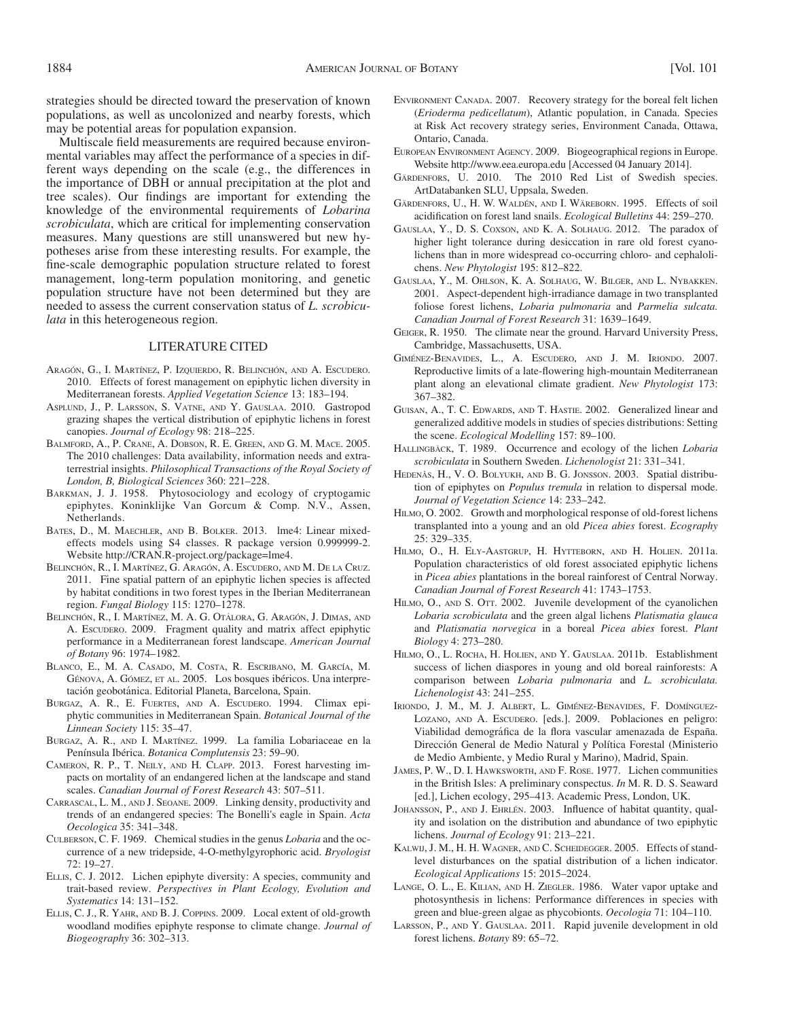strategies should be directed toward the preservation of known populations, as well as uncolonized and nearby forests, which may be potential areas for population expansion.

Multiscale field measurements are required because environmental variables may affect the performance of a species in different ways depending on the scale (e.g., the differences in the importance of DBH or annual precipitation at the plot and tree scales). Our findings are important for extending the knowledge of the environmental requirements of *Lobarina scrobiculata* , which are critical for implementing conservation measures. Many questions are still unanswered but new hypotheses arise from these interesting results. For example, the fine-scale demographic population structure related to forest management, long-term population monitoring, and genetic population structure have not been determined but they are needed to assess the current conservation status of *L. scrobiculata* in this heterogeneous region.

# LITERATURE CITED

- ARAGÓN, G., I. MARTÍNEZ, P. IZQUIERDO, R. BELINCHÓN, AND A. ESCUDERO. 2010. Effects of forest management on epiphytic lichen diversity in Mediterranean forests. *Applied Vegetation Science* 13: 183-194.
- ASPLUND, J., P. LARSSON, S. VATNE, AND Y. GAUSLAA. 2010. Gastropod grazing shapes the vertical distribution of epiphytic lichens in forest canopies. *Journal of Ecology* 98: 218-225.
- BALMFORD, A., P. CRANE, A. DOBSON, R. E. GREEN, AND G. M. MACE. 2005. The 2010 challenges: Data availability, information needs and extraterrestrial insights. *Philosophical Transactions of the Royal Society of*  London, B, Biological Sciences 360: 221-228.
- BARKMAN, J. J. 1958. Phytosociology and ecology of cryptogamic epiphytes . Koninklijke Van Gorcum & Comp. N.V., Assen, Netherlands.
- BATES, D., M. MAECHLER, AND B. BOLKER. 2013. Ime4: Linear mixedeffects models using S4 classes. R package version 0.999999-2. Website http://CRAN.R-project.org/package=lme4 .
- BELINCHÓN, R., I. MARTÍNEZ, G. ARAGÓN, A. ESCUDERO, AND M. DE LA CRUZ. 2011. Fine spatial pattern of an epiphytic lichen species is affected by habitat conditions in two forest types in the Iberian Mediterranean region. *Fungal Biology* 115: 1270–1278.
- BELINCHÓN, R., I. MARTÍNEZ, M. A. G. OTÁLORA, G. ARAGÓN, J. DIMAS, AND A. Escupero. 2009. Fragment quality and matrix affect epiphytic performance in a Mediterranean forest landscape. *American Journal of Botany* 96 : 1974 – 1982 .
- BLANCO, E., M. A. CASADO, M. COSTA, R. ESCRIBANO, M. GARCÍA, M. GÉNOVA, A. GÓMEZ, ET AL. 2005. Los bosques ibéricos. Una interpretación geobotánica. Editorial Planeta, Barcelona, Spain.
- BURGAZ, A. R., E. FUERTES, AND A. ESCUDERO. 1994. Climax epiphytic communities in Mediterranean Spain. *Botanical Journal of the Linnean Society* 115: 35-47.
- BURGAZ, A. R., AND I. MARTÍNEZ. 1999. La familia Lobariaceae en la Península Ibérica. *Botanica Complutensis* 23: 59-90.
- CAMERON, R. P., T. NEILY, AND H. CLAPP. 2013. Forest harvesting impacts on mortality of an endangered lichen at the landscape and stand scales. *Canadian Journal of Forest Research* 43: 507-511.
- CARRASCAL, L. M., AND J. SEOANE. 2009. Linking density, productivity and trends of an endangered species: The Bonelli's eagle in Spain. *Acta Oecologica* 35: 341-348.
- CULBERSON, C. F. 1969. Chemical studies in the genus *Lobaria* and the occurrence of a new tridepside, 4-O-methylgyrophoric acid. *Bryologist* 72: 19–27.
- ELLIS, C. J. 2012. Lichen epiphyte diversity: A species, community and trait-based review. *Perspectives in Plant Ecology, Evolution and Systematics* 14: 131-152.
- ELLIS, C. J., R. YAHR, AND B. J. COPPINS. 2009. Local extent of old-growth woodland modifies epiphyte response to climate change. *Journal of Biogeography* 36: 302-313.
- ENVIRONMENT CANADA. 2007. Recovery strategy for the boreal felt lichen ( *Erioderma pedicellatum* ), Atlantic population, in Canada . Species at Risk Act recovery strategy series, Environment Canada, Ottawa, Ontario, Canada.
- EUROPEAN ENVIRONMENT AGENCY. 2009. Biogeographical regions in Europe. Website http://www.eea.europa.edu [Accessed 04 January 2014].
- GÄRDENFORS, U. 2010. The 2010 Red List of Swedish species. ArtDatabanken SLU, Uppsala, Sweden.
- GÄRDENFORS, U., H. W. WALDÉN, AND I. WÄREBORN. 1995. Effects of soil acidification on forest land snails. *Ecological Bulletins* 44: 259-270.
- GAUSLAA, Y., D. S. COXSON, AND K. A. SOLHAUG. 2012. The paradox of higher light tolerance during desiccation in rare old forest cyanolichens than in more widespread co-occurring chloro- and cephalolichens. *New Phytologist* 195: 812-822.
- GAUSLAA, Y., M. OHLSON, K. A. SOLHAUG, W. BILGER, AND L. NYBAKKEN. 2001. Aspect-dependent high-irradiance damage in two transplanted foliose forest lichens, *Lobaria pulmonaria* and *Parmelia sulcata.* Canadian Journal of Forest Research 31: 1639-1649.
- GEIGER, R. 1950. The climate near the ground. Harvard University Press, Cambridge, Massachusetts, USA.
- GIMÉNEZ-BENAVIDES, L., A. ESCUDERO, AND J. M. IRIONDO. 2007. Reproductive limits of a late-flowering high-mountain Mediterranean plant along an elevational climate gradient. *New Phytologist* 173: 367-382.
- GUISAN, A., T. C. EDWARDS, AND T. HASTIE. 2002. Generalized linear and generalized additive models in studies of species distributions: Setting the scene. *Ecological Modelling* 157: 89-100.
- HALLINGBÄCK, T. 1989. Occurrence and ecology of the lichen *Lobaria scrobiculata* in Southern Sweden. *Lichenologist* 21 : 331 – 341 .
- HEDENÅS, H., V. O. BOLYUKH, AND B. G. JONSSON. 2003. Spatial distribution of epiphytes on *Populus tremula* in relation to dispersal mode. Journal of Vegetation Science 14: 233-242.
- HILMO, O. 2002. Growth and morphological response of old-forest lichens transplanted into a young and an old *Picea abies* forest. *Ecography* 25: 329-335.
- HILMO, O., H. ELY-AASTGRUP, H. HYTTEBORN, AND H. HOLIEN. 2011a. Population characteristics of old forest associated epiphytic lichens in *Picea abies* plantations in the boreal rainforest of Central Norway. Canadian Journal of Forest Research 41: 1743-1753.
- HILMO, O., AND S. OTT. 2002. Juvenile development of the cyanolichen *Lobaria scrobiculata* and the green algal lichens *Platismatia glauca* and *Platismatia norvegica* in a boreal *Picea abies* forest. *Plant Biology* 4: 273-280.
- HILMO, O., L. ROCHA, H. HOLIEN, AND Y. GAUSLAA. 2011b. Establishment success of lichen diaspores in young and old boreal rainforests: A comparison between *Lobaria pulmonaria* and *L. scrobiculata.* Lichenologist 43: 241-255.
- IRIONDO, J. M., M. J. ALBERT, L. GIMÉNEZ-BENAVIDES, F. DOMÍNGUEZ-LOZANO, AND A. ESCUDERO. [eds.]. 2009. Poblaciones en peligro: Viabilidad demográfica de la flora vascular amenazada de España. Dirección General de Medio Natural y Política Forestal (Ministerio de Medio Ambiente, y Medio Rural y Marino), Madrid, Spain.
- JAMES, P. W., D. I. HAWKSWORTH, AND F. ROSE. 1977. Lichen communities in the British Isles: A preliminary conspectus . *In* M. R. D. S. Seaward [ed.], Lichen ecology, 295–413. Academic Press, London, UK.
- JOHANSSON, P., AND J. EHRLÉN. 2003. Influence of habitat quantity, quality and isolation on the distribution and abundance of two epiphytic lichens. *Journal of Ecology* 91: 213-221.
- KALWIJ, J. M., H. H. WAGNER, AND C. SCHEIDEGGER. 2005. Effects of standlevel disturbances on the spatial distribution of a lichen indicator. *Ecological Applications* 15 : 2015 – 2024 .
- LANGE, O. L., E. KILIAN, AND H. ZIEGLER. 1986. Water vapor uptake and photosynthesis in lichens: Performance differences in species with green and blue-green algae as phycobionts. *Oecologia* 71: 104–110.
- LARSSON, P., AND Y. GAUSLAA. 2011. Rapid juvenile development in old forest lichens. *Botany* 89: 65-72.